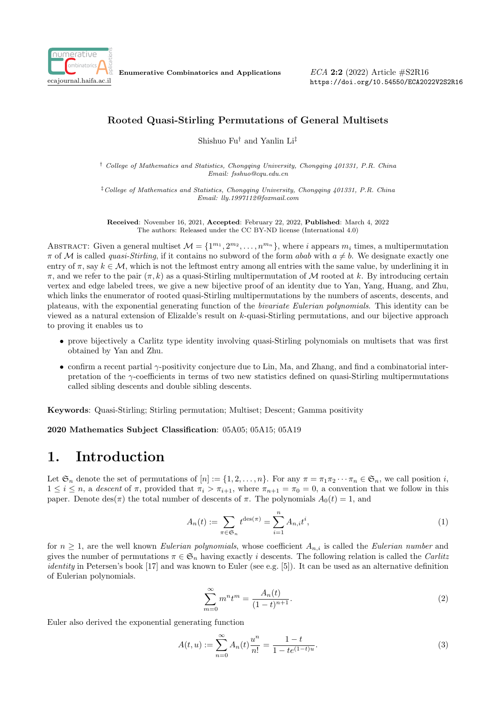

Enumerative Combinatorics and Applications

ECA 2:2 (2022) Article #S2R16 https://doi.org/10.54550/ECA2022V2S2R16

#### Rooted Quasi-Stirling Permutations of General Multisets

Shishuo Fu† and Yanlin Li‡

† College of Mathematics and Statistics, Chongqing University, Chongqing 401331, P.R. China Email: fsshuo@cqu.edu.cn

‡College of Mathematics and Statistics, Chongqing University, Chongqing 401331, P.R. China Email: lly.1997112@foxmail.com

Received: November 16, 2021, Accepted: February 22, 2022, Published: March 4, 2022 The authors: Released under the CC BY-ND license (International 4.0)

ABSTRACT: Given a general multiset  $\mathcal{M} = \{1^{m_1}, 2^{m_2}, \ldots, n^{m_n}\}\$ , where i appears  $m_i$  times, a multipermutation  $\pi$  of M is called *quasi-Stirling*, if it contains no subword of the form *abab* with  $a \neq b$ . We designate exactly one entry of  $\pi$ , say  $k \in \mathcal{M}$ , which is not the leftmost entry among all entries with the same value, by underlining it in  $\pi$ , and we refer to the pair  $(\pi, k)$  as a quasi-Stirling multipermutation of M rooted at k. By introducing certain vertex and edge labeled trees, we give a new bijective proof of an identity due to Yan, Yang, Huang, and Zhu, which links the enumerator of rooted quasi-Stirling multipermutations by the numbers of ascents, descents, and plateaus, with the exponential generating function of the bivariate Eulerian polynomials. This identity can be viewed as a natural extension of Elizalde's result on k-quasi-Stirling permutations, and our bijective approach to proving it enables us to

- prove bijectively a Carlitz type identity involving quasi-Stirling polynomials on multisets that was first obtained by Yan and Zhu.
- confirm a recent partial  $\gamma$ -positivity conjecture due to Lin, Ma, and Zhang, and find a combinatorial interpretation of the  $\gamma$ -coefficients in terms of two new statistics defined on quasi-Stirling multipermutations called sibling descents and double sibling descents.

Keywords: Quasi-Stirling; Stirling permutation; Multiset; Descent; Gamma positivity

2020 Mathematics Subject Classification: 05A05; 05A15; 05A19

#### 1. Introduction

Let  $\mathfrak{S}_n$  denote the set of permutations of  $[n] := \{1, 2, \ldots, n\}$ . For any  $\pi = \pi_1 \pi_2 \cdots \pi_n \in \mathfrak{S}_n$ , we call position *i*,  $1 \leq i \leq n$ , a descent of  $\pi$ , provided that  $\pi_i > \pi_{i+1}$ , where  $\pi_{n+1} = \pi_0 = 0$ , a convention that we follow in this paper. Denote des( $\pi$ ) the total number of descents of  $\pi$ . The polynomials  $A_0(t) = 1$ , and

$$
A_n(t) := \sum_{\pi \in \mathfrak{S}_n} t^{\text{des}(\pi)} = \sum_{i=1}^n A_{n,i} t^i,
$$
\n
$$
(1)
$$

for  $n \geq 1$ , are the well known Eulerian polynomials, whose coefficient  $A_{n,i}$  is called the Eulerian number and gives the number of permutations  $\pi \in \mathfrak{S}_n$  having exactly i descents. The following relation is called the *Carlitz* identity in Petersen's book [17] and was known to Euler (see e.g. [5]). It can be used as an alternative definition of Eulerian polynomials.

$$
\sum_{m=0}^{\infty} m^n t^m = \frac{A_n(t)}{(1-t)^{n+1}}.
$$
\n(2)

Euler also derived the exponential generating function

$$
A(t, u) := \sum_{n=0}^{\infty} A_n(t) \frac{u^n}{n!} = \frac{1 - t}{1 - te^{(1 - t)u}}.
$$
\n(3)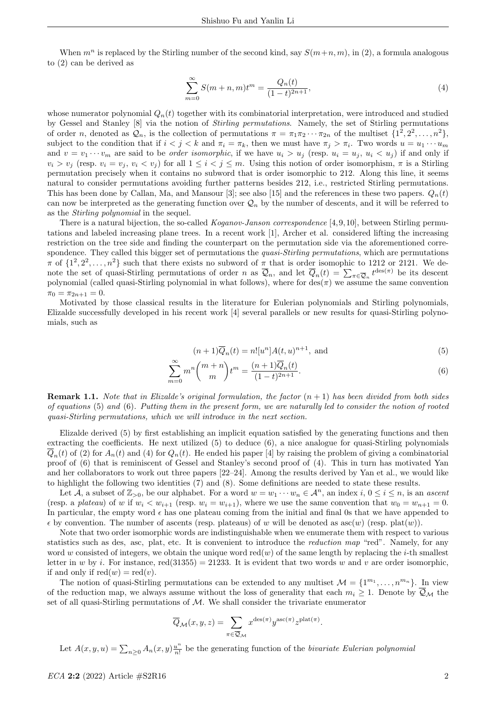When  $m^n$  is replaced by the Stirling number of the second kind, say  $S(m+n, m)$ , in (2), a formula analogous to (2) can be derived as

$$
\sum_{m=0}^{\infty} S(m+n,m)t^m = \frac{Q_n(t)}{(1-t)^{2n+1}},
$$
\n(4)

whose numerator polynomial  $Q_n(t)$  together with its combinatorial interpretation, were introduced and studied by Gessel and Stanley [8] via the notion of Stirling permutations. Namely, the set of Stirling permutations of order n, denoted as  $\mathcal{Q}_n$ , is the collection of permutations  $\pi = \pi_1 \pi_2 \cdots \pi_{2n}$  of the multiset  $\{1^2, 2^2, \ldots, n^2\}$ , subject to the condition that if  $i < j < k$  and  $\pi_i = \pi_k$ , then we must have  $\pi_j > \pi_i$ . Two words  $u = u_1 \cdots u_m$ and  $v = v_1 \cdots v_m$  are said to be *order isomorphic*, if we have  $u_i > u_j$  (resp.  $u_i = u_j$ ,  $u_i < u_j$ ) if and only if  $v_i > v_j$  (resp.  $v_i = v_j$ ,  $v_i < v_j$ ) for all  $1 \leq i < j \leq m$ . Using this notion of order isomorphism,  $\pi$  is a Stirling permutation precisely when it contains no subword that is order isomorphic to 212. Along this line, it seems natural to consider permutations avoiding further patterns besides 212, i.e., restricted Stirling permutations. This has been done by Callan, Ma, and Mansour [3]; see also [15] and the references in these two papers.  $Q_n(t)$ can now be interpreted as the generating function over  $\mathcal{Q}_n$  by the number of descents, and it will be referred to as the Stirling polynomial in the sequel.

There is a natural bijection, the so-called *Koganov-Janson correspondence* [4, 9, 10], between Stirling permutations and labeled increasing plane trees. In a recent work [1], Archer et al. considered lifting the increasing restriction on the tree side and finding the counterpart on the permutation side via the aforementioned correspondence. They called this bigger set of permutations the *quasi-Stirling permutations*, which are permutations  $\pi$  of  $\{1^2, 2^2, \ldots, n^2\}$  such that there exists no subword of  $\pi$  that is order isomophic to 1212 or 2121. We denote the set of quasi-Stirling permutations of order n as  $\overline{Q}_n$ , and let  $\overline{Q}_n(t) = \sum_{\pi \in \overline{Q}_n} t^{\text{des}(\pi)}$  be its descent polynomial (called quasi-Stirling polynomial in what follows), where for  $\text{des}(\pi)$  we assume the same convention  $\pi_0 = \pi_{2n+1} = 0.$ 

Motivated by those classical results in the literature for Eulerian polynomials and Stirling polynomials, Elizalde successfully developed in his recent work [4] several parallels or new results for quasi-Stirling polynomials, such as

$$
(n+1)\overline{Q}_n(t) = n![u^n]A(t,u)^{n+1}, \text{ and} \tag{5}
$$

$$
\sum_{m=0}^{\infty} m^n \binom{m+n}{m} t^m = \frac{(n+1)\overline{Q}_n(t)}{(1-t)^{2n+1}}.
$$
\n(6)

**Remark 1.1.** Note that in Elizalde's original formulation, the factor  $(n + 1)$  has been divided from both sides of equations (5) and (6). Putting them in the present form, we are naturally led to consider the notion of rooted quasi-Stirling permutations, which we will introduce in the next section.

Elizalde derived (5) by first establishing an implicit equation satisfied by the generating functions and then extracting the coefficients. He next utilized (5) to deduce (6), a nice analogue for quasi-Stirling polynomials  $\overline{Q}_n(t)$  of (2) for  $A_n(t)$  and (4) for  $Q_n(t)$ . He ended his paper [4] by raising the problem of giving a combinatorial proof of (6) that is reminiscent of Gessel and Stanley's second proof of (4). This in turn has motivated Yan and her collaborators to work out three papers [22–24]. Among the results derived by Yan et al., we would like to highlight the following two identities (7) and (8). Some definitions are needed to state these results.

Let A, a subset of  $\mathbb{Z}_{>0}$ , be our alphabet. For a word  $w = w_1 \cdots w_n \in \mathcal{A}^n$ , an index  $i, 0 \le i \le n$ , is an ascent (resp. a plateau) of w if  $w_i < w_{i+1}$  (resp.  $w_i = w_{i+1}$ ), where we use the same convention that  $w_0 = w_{n+1} = 0$ . In particular, the empty word  $\epsilon$  has one plateau coming from the initial and final 0s that we have appended to  $\epsilon$  by convention. The number of ascents (resp. plateaus) of w will be denoted as  $asc(w)$  (resp. plat $(w)$ ).

Note that two order isomorphic words are indistinguishable when we enumerate them with respect to various statistics such as des, asc, plat, etc. It is convenient to introduce the reduction map "red". Namely, for any word w consisted of integers, we obtain the unique word red(w) of the same length by replacing the *i*-th smallest letter in w by i. For instance, red(31355) = 21233. It is evident that two words w and v are order isomorphic. if and only if  $\text{red}(w) = \text{red}(v)$ .

The notion of quasi-Stirling permutations can be extended to any multiset  $\mathcal{M} = \{1^{m_1}, \ldots, n^{m_n}\}\.$  In view of the reduction map, we always assume without the loss of generality that each  $m_i \geq 1$ . Denote by  $\overline{\mathcal{Q}}_{\mathcal{M}}$  the set of all quasi-Stirling permutations of  $M$ . We shall consider the trivariate enumerator

$$
\overline{Q}_{\mathcal{M}}(x, y, z) = \sum_{\pi \in \overline{\mathcal{Q}}_{\mathcal{M}}} x^{\text{des}(\pi)} y^{\text{asc}(\pi)} z^{\text{plat}(\pi)}.
$$

Let  $A(x, y, u) = \sum_{n \geq 0} A_n(x, y) \frac{u^n}{n!}$  $\frac{u^n}{n!}$  be the generating function of the *bivariate Eulerian polynomial*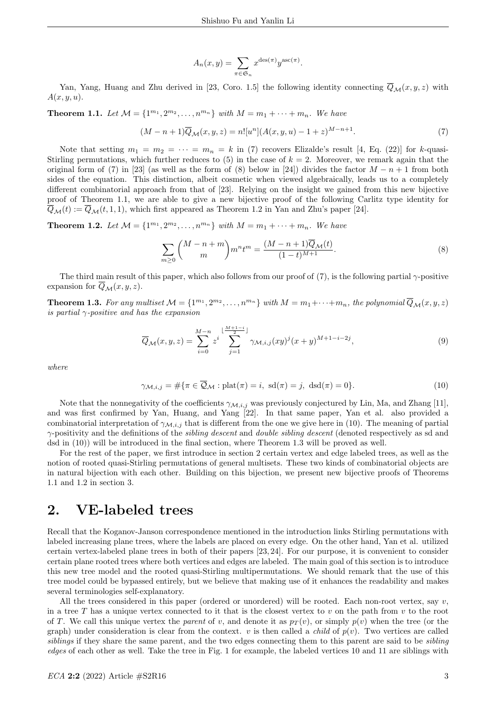$$
A_n(x,y) = \sum_{\pi \in \mathfrak{S}_n} x^{\text{des}(\pi)} y^{\text{asc}(\pi)}
$$

Yan, Yang, Huang and Zhu derived in [23, Coro. 1.5] the following identity connecting  $\overline{Q}_M(x, y, z)$  with  $A(x, y, u)$ .

**Theorem 1.1.** Let  $M = \{1^{m_1}, 2^{m_2}, \ldots, n^{m_n}\}$  with  $M = m_1 + \cdots + m_n$ . We have

$$
(M - n + 1)\overline{Q}_{\mathcal{M}}(x, y, z) = n![u^{n}](A(x, y, u) - 1 + z)^{M - n + 1}.
$$
\n(7)

.

Note that setting  $m_1 = m_2 = \cdots = m_n = k$  in (7) recovers Elizalde's result [4, Eq. (22)] for k-quasi-Stirling permutations, which further reduces to  $(5)$  in the case of  $k = 2$ . Moreover, we remark again that the original form of (7) in [23] (as well as the form of (8) below in [24]) divides the factor  $M - n + 1$  from both sides of the equation. This distinction, albeit cosmetic when viewed algebraically, leads us to a completely different combinatorial approach from that of [23]. Relying on the insight we gained from this new bijective proof of Theorem 1.1, we are able to give a new bijective proof of the following Carlitz type identity for  $\overline{Q}_{\mathcal{M}}(t) := \overline{Q}_{\mathcal{M}}(t, 1, 1)$ , which first appeared as Theorem 1.2 in Yan and Zhu's paper [24].

**Theorem 1.2.** Let  $M = \{1^{m_1}, 2^{m_2}, \ldots, n^{m_n}\}$  with  $M = m_1 + \cdots + m_n$ . We have

$$
\sum_{m\geq 0} {M-n+m \choose m} m^n t^m = \frac{(M-n+1)\overline{Q}_{\mathcal{M}}(t)}{(1-t)^{M+1}}.
$$
 (8)

The third main result of this paper, which also follows from our proof of  $(7)$ , is the following partial  $\gamma$ -positive expansion for  $\overline{Q}_M(x, y, z)$ .

**Theorem 1.3.** For any multiset  $\mathcal{M} = \{1^{m_1}, 2^{m_2}, \ldots, n^{m_n}\}$  with  $M = m_1 + \cdots + m_n$ , the polynomial  $\overline{Q}_{\mathcal{M}}(x, y, z)$ is partial  $\gamma$ -positive and has the expansion

$$
\overline{Q}_{\mathcal{M}}(x,y,z) = \sum_{i=0}^{M-n} z^i \sum_{j=1}^{\lfloor \frac{M+1-i}{2} \rfloor} \gamma_{\mathcal{M},i,j}(xy)^j (x+y)^{M+1-i-2j}, \tag{9}
$$

where

$$
\gamma_{\mathcal{M},i,j} = \#\{\pi \in \overline{\mathcal{Q}}_{\mathcal{M}} : \text{plat}(\pi) = i, \ \text{sd}(\pi) = j, \ \text{dsd}(\pi) = 0\}.
$$
\n(10)

Note that the nonnegativity of the coefficients  $\gamma_{\mathcal{M},i,j}$  was previously conjectured by Lin, Ma, and Zhang [11], and was first confirmed by Yan, Huang, and Yang [22]. In that same paper, Yan et al. also provided a combinatorial interpretation of  $\gamma_{\mathcal{M},i,j}$  that is different from the one we give here in (10). The meaning of partial  $\gamma$ -positivity and the definitions of the *sibling descent* and *double sibling descent* (denoted respectively as sd and dsd in (10)) will be introduced in the final section, where Theorem 1.3 will be proved as well.

For the rest of the paper, we first introduce in section 2 certain vertex and edge labeled trees, as well as the notion of rooted quasi-Stirling permutations of general multisets. These two kinds of combinatorial objects are in natural bijection with each other. Building on this bijection, we present new bijective proofs of Theorems 1.1 and 1.2 in section 3.

### 2. VE-labeled trees

Recall that the Koganov-Janson correspondence mentioned in the introduction links Stirling permutations with labeled increasing plane trees, where the labels are placed on every edge. On the other hand, Yan et al. utilized certain vertex-labeled plane trees in both of their papers [23, 24]. For our purpose, it is convenient to consider certain plane rooted trees where both vertices and edges are labeled. The main goal of this section is to introduce this new tree model and the rooted quasi-Stirling multipermutations. We should remark that the use of this tree model could be bypassed entirely, but we believe that making use of it enhances the readability and makes several terminologies self-explanatory.

All the trees considered in this paper (ordered or unordered) will be rooted. Each non-root vertex, say  $v$ , in a tree T has a unique vertex connected to it that is the closest vertex to v on the path from v to the root of T. We call this unique vertex the parent of v, and denote it as  $p_T(v)$ , or simply  $p(v)$  when the tree (or the graph) under consideration is clear from the context. v is then called a *child* of  $p(v)$ . Two vertices are called siblings if they share the same parent, and the two edges connecting them to this parent are said to be *sibling* edges of each other as well. Take the tree in Fig. 1 for example, the labeled vertices 10 and 11 are siblings with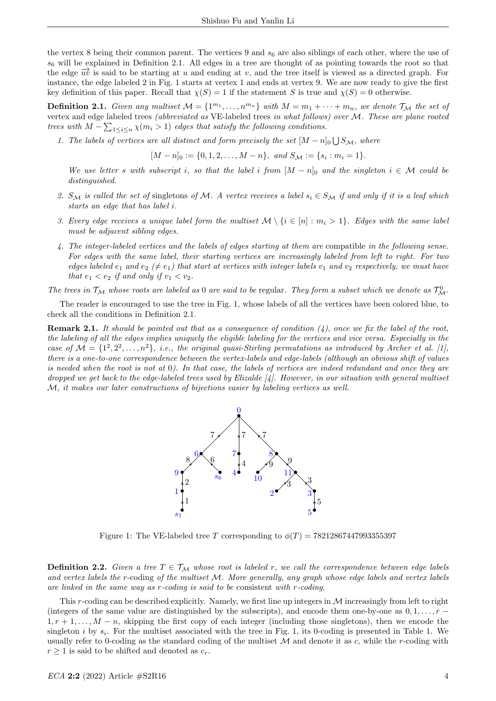the vertex 8 being their common parent. The vertices 9 and  $s<sub>6</sub>$  are also siblings of each other, where the use of  $s<sub>6</sub>$  will be explained in Definition 2.1. All edges in a tree are thought of as pointing towards the root so that the edge  $\vec{uv}$  is said to be starting at u and ending at v, and the tree itself is viewed as a directed graph. For instance, the edge labeled 2 in Fig. 1 starts at vertex 1 and ends at vertex 9. We are now ready to give the first key definition of this paper. Recall that  $\chi(S) = 1$  if the statement S is true and  $\chi(S) = 0$  otherwise.

**Definition 2.1.** Given any multiset  $M = \{1^{m_1}, \ldots, n^{m_n}\}\$  with  $M = m_1 + \cdots + m_n$ , we denote  $\mathcal{T}_{\mathcal{M}}$  the set of vertex and edge labeled trees (abbreviated as VE-labeled trees in what follows) over M. These are plane rooted trees with  $M - \sum_{1 \leq i \leq n} \chi(m_i > 1)$  edges that satisfy the following conditions.

1. The labels of vertices are all distinct and form precisely the set  $[M - n]_0 \bigcup S_{\mathcal{M}}$ , where

 $[M - n]_0 := \{0, 1, 2, \dots, M - n\}, \text{ and } S_{\mathcal{M}} := \{s_i : m_i = 1\}.$ 

We use letter s with subscript i, so that the label i from  $[M - n]_0$  and the singleton  $i \in \mathcal{M}$  could be distinguished.

- 2.  $S_M$  is called the set of singletons of M. A vertex receives a label  $s_i \in S_M$  if and only if it is a leaf which starts an edge that has label i.
- 3. Every edge receives a unique label form the multiset  $\mathcal{M} \setminus \{i \in [n] : m_i > 1\}$ . Edges with the same label must be adjacent sibling edges.
- 4. The integer-labeled vertices and the labels of edges starting at them are compatible in the following sense. For edges with the same label, their starting vertices are increasingly labeled from left to right. For two edges labeled  $e_1$  and  $e_2 \neq e_1$ ) that start at vertices with integer labels  $v_1$  and  $v_2$  respectively, we must have that  $e_1 < e_2$  if and only if  $v_1 < v_2$ .

The trees in  $\mathcal{T}_M$  whose roots are labeled as 0 are said to be regular. They form a subset which we denote as  $\mathcal{T}_M^0$ .

The reader is encouraged to use the tree in Fig. 1, whose labels of all the vertices have been colored blue, to check all the conditions in Definition 2.1.

**Remark 2.1.** It should be pointed out that as a consequence of condition  $(4)$ , once we fix the label of the root, the labeling of all the edges implies uniquely the eligible labeling for the vertices and vice versa. Especially in the case of  $\mathcal{M} = \{1^2, 2^2, \ldots, n^2\}$ , i.e., the original quasi-Stirling permutations as introduced by Archer et al. [1], there is a one-to-one correspondence between the vertex-labels and edge-labels (although an obvious shift of values is needed when the root is not at 0). In that case, the labels of vertices are indeed redundant and once they are dropped we get back to the edge-labeled trees used by Elizalde  $\mathcal{A}$ . However, in our situation with general multiset M, it makes our later constructions of bijections easier by labeling vertices as well.



Figure 1: The VE-labeled tree T corresponding to  $\phi(T) = 78212867447993355397$ 

**Definition 2.2.** Given a tree  $T \in \mathcal{T}_M$  whose root is labeled r, we call the correspondence between edge labels and vertex labels the r-coding of the multiset M. More generally, any graph whose edge labels and vertex labels are linked in the same way as r-coding is said to be consistent with r-coding.

This r-coding can be described explicitly. Namely, we first line up integers in  $M$  increasingly from left to right (integers of the same value are distinguished by the subscripts), and encode them one-by-one as  $0, 1, \ldots, r 1, r+1, \ldots, M-n$ , skipping the first copy of each integer (including those singletons), then we encode the singleton *i* by  $s_i$ . For the multiset associated with the tree in Fig. 1, its 0-coding is presented in Table 1. We usually refer to 0-coding as the standard coding of the multiset  $M$  and denote it as c, while the r-coding with  $r \geq 1$  is said to be shifted and denoted as  $c_r$ .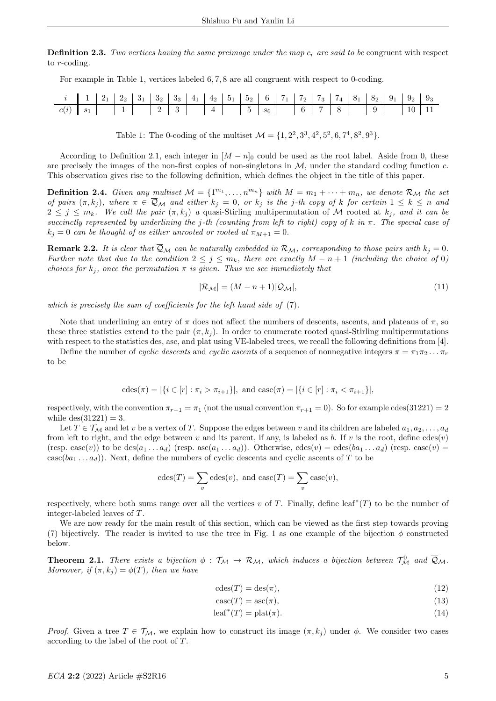**Definition 2.3.** Two vertices having the same preimage under the map  $c_r$  are said to be congruent with respect to r-coding.

For example in Table 1, vertices labeled 6, 7, 8 are all congruent with respect to 0-coding.

|              |  |  |                                                                 |  |  |                                                         |  |  |  | $1 \mid 2_1 \mid 2_2 \mid 3_1 \mid 3_2 \mid 3_3 \mid 4_1 \mid 4_2 \mid 5_1 \mid 5_2 \mid 6 \mid 7_1 \mid 7_2 \mid 7_3 \mid 7_4 \mid 8_1 \mid 8_2 \mid 9_1 \mid 9_2 \mid 9_3$ |  |
|--------------|--|--|-----------------------------------------------------------------|--|--|---------------------------------------------------------|--|--|--|------------------------------------------------------------------------------------------------------------------------------------------------------------------------------|--|
| $c(i)$ $s_1$ |  |  | $\begin{array}{ c c c c c } \hline 2 & 3 \\ \hline \end{array}$ |  |  | $\begin{array}{ c c c c c } \hline 5 & s_6 \end{array}$ |  |  |  |                                                                                                                                                                              |  |

Table 1: The 0-coding of the multiset  $\mathcal{M} = \{1, 2^2, 3^3, 4^2, 5^2, 6, 7^4, 8^2, 9^3\}.$ 

According to Definition 2.1, each integer in  $[M - n]_0$  could be used as the root label. Aside from 0, these are precisely the images of the non-first copies of non-singletons in  $M$ , under the standard coding function  $c$ . This observation gives rise to the following definition, which defines the object in the title of this paper.

**Definition 2.4.** Given any multiset  $M = \{1^{m_1}, \ldots, n^{m_n}\}\$  with  $M = m_1 + \cdots + m_n$ , we denote  $\mathcal{R}_M$  the set of pairs  $(\pi, k_j)$ , where  $\pi \in \overline{Q}_\mathcal{M}$  and either  $k_j = 0$ , or  $k_j$  is the j-th copy of k for certain  $1 \leq k \leq n$  and  $2 \leq j \leq m_k$ . We call the pair  $(\pi, k_j)$  a quasi-Stirling multipermutation of M rooted at  $k_j$ , and it can be succinctly represented by underlining the j-th (counting from left to right) copy of k in  $\pi$ . The special case of  $k_j = 0$  can be thought of as either unrooted or rooted at  $\pi_{M+1} = 0$ .

**Remark 2.2.** It is clear that  $\mathcal{Q}_M$  can be naturally embedded in  $\mathcal{R}_M$ , corresponding to those pairs with  $k_j = 0$ . Further note that due to the condition  $2 \leq j \leq m_k$ , there are exactly  $M - n + 1$  (including the choice of 0) choices for  $k_i$ , once the permutation  $\pi$  is given. Thus we see immediately that

$$
|\mathcal{R}_{\mathcal{M}}| = (M - n + 1)|\overline{\mathcal{Q}}_{\mathcal{M}}|,\tag{11}
$$

which is precisely the sum of coefficients for the left hand side of  $(7)$ .

Note that underlining an entry of  $\pi$  does not affect the numbers of descents, ascents, and plateaus of  $\pi$ , so these three statistics extend to the pair  $(\pi, k_j)$ . In order to enumerate rooted quasi-Stirling multipermutations with respect to the statistics des, asc, and plat using VE-labeled trees, we recall the following definitions from [4].

Define the number of cyclic descents and cyclic ascents of a sequence of nonnegative integers  $\pi = \pi_1 \pi_2 \dots \pi_r$ to be

$$
\mathrm{cdes}(\pi) = |\{i \in [r] : \pi_i > \pi_{i+1}\}|, \text{ and } \mathrm{casc}(\pi) = |\{i \in [r] : \pi_i < \pi_{i+1}\}|,
$$

respectively, with the convention  $\pi_{r+1} = \pi_1$  (not the usual convention  $\pi_{r+1} = 0$ ). So for example cdes(31221) = 2 while  $des(31221) = 3$ .

Let  $T \in \mathcal{T}_\mathcal{M}$  and let v be a vertex of T. Suppose the edges between v and its children are labeled  $a_1, a_2, \ldots, a_d$ from left to right, and the edge between v and its parent, if any, is labeled as b. If v is the root, define  $cdes(v)$ (resp. casc(v)) to be des $(a_1 \ldots a_d)$  (resp. asc $(a_1 \ldots a_d)$ ). Otherwise, cdes(v) = cdes( $ba_1 \ldots a_d$ ) (resp. casc(v) =  $\csc(ba_1 \ldots a_d)$ . Next, define the numbers of cyclic descents and cyclic ascents of T to be

$$
cdes(T) = \sum_{v} cdes(v), \text{ and } casc(T) = \sum_{v} casc(v),
$$

respectively, where both sums range over all the vertices v of T. Finally, define leaf<sup>\*</sup>(T) to be the number of integer-labeled leaves of T.

We are now ready for the main result of this section, which can be viewed as the first step towards proving (7) bijectively. The reader is invited to use the tree in Fig. 1 as one example of the bijection  $\phi$  constructed below.

**Theorem 2.1.** There exists a bijection  $\phi : \mathcal{T}_M \to \mathcal{R}_M$ , which induces a bijection between  $\mathcal{T}_M^0$  and  $\overline{\mathcal{Q}}_M$ . Moreover, if  $(\pi, k_i) = \phi(T)$ , then we have

$$
\operatorname{cdes}(T) = \operatorname{des}(\pi),\tag{12}
$$

$$
casc(T) = asc(\pi),\tag{13}
$$

$$
leaf^*(T) = plat(\pi). \tag{14}
$$

Proof. Given a tree  $T \in \mathcal{T}_\mathcal{M}$ , we explain how to construct its image  $(\pi, k_j)$  under  $\phi$ . We consider two cases according to the label of the root of T.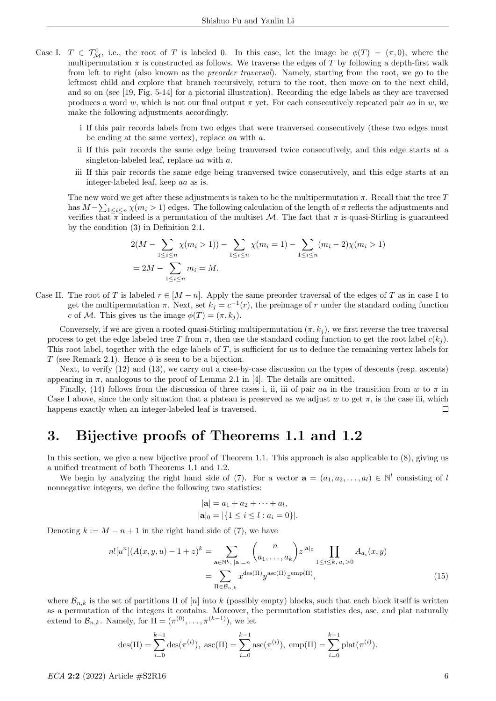- Case I.  $T \in \mathcal{T}_{\mathcal{M}}^0$ , i.e., the root of T is labeled 0. In this case, let the image be  $\phi(T) = (\pi, 0)$ , where the multipermutation  $\pi$  is constructed as follows. We traverse the edges of T by following a depth-first walk from left to right (also known as the preorder traversal). Namely, starting from the root, we go to the leftmost child and explore that branch recursively, return to the root, then move on to the next child, and so on (see [19, Fig. 5-14] for a pictorial illustration). Recording the edge labels as they are traversed produces a word w, which is not our final output  $\pi$  yet. For each consecutively repeated pair as in w, we make the following adjustments accordingly.
	- i If this pair records labels from two edges that were tranversed consecutively (these two edges must be ending at the same vertex), replace aa with a.
	- ii If this pair records the same edge being tranversed twice consecutively, and this edge starts at a singleton-labeled leaf, replace aa with a.
	- iii If this pair records the same edge being tranversed twice consecutively, and this edge starts at an integer-labeled leaf, keep aa as is.

The new word we get after these adjustments is taken to be the multipermutation  $\pi$ . Recall that the tree T has  $M-\sum_{1\leq i\leq n}\chi(m_i>1)$  edges. The following calculation of the length of  $\pi$  reflects the adjustments and verifies that  $\pi$  indeed is a permutation of the multiset M. The fact that  $\pi$  is quasi-Stirling is guaranteed by the condition (3) in Definition 2.1.

$$
2(M - \sum_{1 \le i \le n} \chi(m_i > 1)) - \sum_{1 \le i \le n} \chi(m_i = 1) - \sum_{1 \le i \le n} (m_i - 2)\chi(m_i > 1)
$$
  
= 2M - \sum\_{1 \le i \le n} m\_i = M.

Case II. The root of T is labeled  $r \in [M - n]$ . Apply the same preorder traversal of the edges of T as in case I to get the multipermutation  $\pi$ . Next, set  $k_j = c^{-1}(r)$ , the preimage of r under the standard coding function c of M. This gives us the image  $\phi(T) = (\pi, k_i)$ .

Conversely, if we are given a rooted quasi-Stirling multipermutation  $(\pi, k_i)$ , we first reverse the tree traversal process to get the edge labeled tree T from  $\pi$ , then use the standard coding function to get the root label  $c(k_j)$ . This root label, together with the edge labels of  $T$ , is sufficient for us to deduce the remaining vertex labels for T (see Remark 2.1). Hence  $\phi$  is seen to be a bijection.

Next, to verify (12) and (13), we carry out a case-by-case discussion on the types of descents (resp. ascents) appearing in  $\pi$ , analogous to the proof of Lemma 2.1 in [4]. The details are omitted.

Finally, (14) follows from the discussion of three cases i, ii, iii of pair aa in the transition from w to  $\pi$  in Case I above, since the only situation that a plateau is preserved as we adjust w to get  $\pi$ , is the case iii, which happens exactly when an integer-labeled leaf is traversed.  $\Box$ 

## 3. Bijective proofs of Theorems 1.1 and 1.2

In this section, we give a new bijective proof of Theorem 1.1. This approach is also applicable to  $(8)$ , giving us a unified treatment of both Theorems 1.1 and 1.2.

We begin by analyzing the right hand side of (7). For a vector  $\mathbf{a} = (a_1, a_2, \dots, a_l) \in \mathbb{N}^l$  consisting of l nonnegative integers, we define the following two statistics:

$$
|\mathbf{a}| = a_1 + a_2 + \dots + a_l,
$$
  

$$
|\mathbf{a}|_0 = |\{1 \le i \le l : a_i = 0\}|.
$$

Denoting  $k := M - n + 1$  in the right hand side of (7), we have

$$
n![u^n](A(x,y,u)-1+z)^k = \sum_{\mathbf{a}\in\mathbb{N}^k,\ |\mathbf{a}|=n} {n \choose a_1,\dots,a_k} z^{|\mathbf{a}|_0} \prod_{1 \le i \le k,\ a_i>0} A_{a_i}(x,y)
$$

$$
= \sum_{\Pi \in \mathcal{B}_{n,k}} x^{\text{des}(\Pi)} y^{\text{asc}(\Pi)} z^{\text{emp}(\Pi)}, \tag{15}
$$

where  $\mathcal{B}_{n,k}$  is the set of partitions  $\Pi$  of  $[n]$  into k (possibly empty) blocks, such that each block itself is written as a permutation of the integers it contains. Moreover, the permutation statistics des, asc, and plat naturally extend to  $\mathcal{B}_{n,k}$ . Namely, for  $\Pi = (\pi^{(0)}, \ldots, \pi^{(k-1)})$ , we let

$$
\text{des}(\Pi) = \sum_{i=0}^{k-1} \text{des}(\pi^{(i)}), \ \text{asc}(\Pi) = \sum_{i=0}^{k-1} \text{asc}(\pi^{(i)}), \ \text{emp}(\Pi) = \sum_{i=0}^{k-1} \text{plat}(\pi^{(i)}).
$$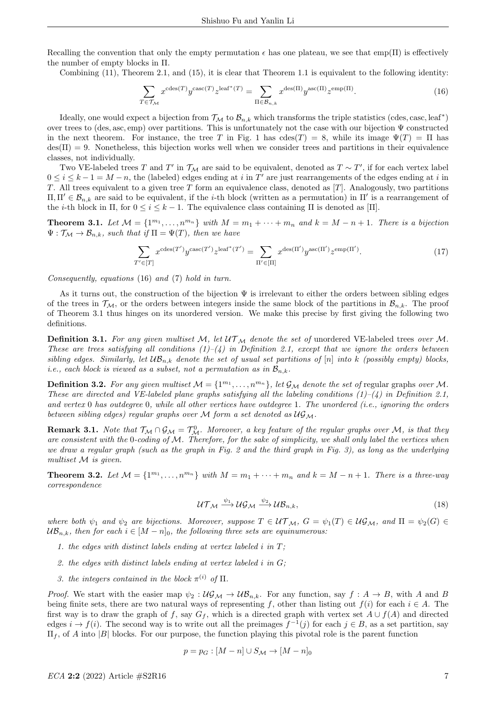Recalling the convention that only the empty permutation  $\epsilon$  has one plateau, we see that emp( $\Pi$ ) is effectively the number of empty blocks in Π.

Combining (11), Theorem 2.1, and (15), it is clear that Theorem 1.1 is equivalent to the following identity:

$$
\sum_{T \in \mathcal{T}_{\mathcal{M}}} x^{\text{cdes}(T)} y^{\text{casc}(T)} z^{\text{leaf}^*(T)} = \sum_{\Pi \in \mathcal{B}_{n,k}} x^{\text{des}(\Pi)} y^{\text{asc}(\Pi)} z^{\text{emp}(\Pi)}.
$$
(16)

Ideally, one would expect a bijection from  $\mathcal{T}_{\mathcal{M}}$  to  $\mathcal{B}_{n,k}$  which transforms the triple statistics (cdes, casc, leaf<sup>\*</sup>) over trees to (des, asc, emp) over partitions. This is unfortunately not the case with our bijection Ψ constructed in the next theorem. For instance, the tree T in Fig. 1 has  $\text{cdes}(T) = 8$ , while its image  $\Psi(T) = \Pi$  has  $\text{des}(\Pi) = 9$ . Nonetheless, this bijection works well when we consider trees and partitions in their equivalence classes, not individually.

Two VE-labeled trees T and T' in  $\mathcal{T}_{\mathcal{M}}$  are said to be equivalent, denoted as  $T \sim T'$ , if for each vertex label  $0 \leq i \leq k-1 = M-n$ , the (labeled) edges ending at i in T' are just rearrangements of the edges ending at i in T. All trees equivalent to a given tree T form an equivalence class, denoted as  $[T]$ . Analogously, two partitions  $\Pi, \Pi' \in \mathcal{B}_{n,k}$  are said to be equivalent, if the *i*-th block (written as a permutation) in  $\Pi'$  is a rearrangement of the *i*-th block in Π, for  $0 \le i \le k-1$ . The equivalence class containing Π is denoted as [Π].

**Theorem 3.1.** Let  $M = \{1^{m_1}, \ldots, n^{m_n}\}$  with  $M = m_1 + \cdots + m_n$  and  $k = M - n + 1$ . There is a bijection  $\Psi : \mathcal{T}_M \to \mathcal{B}_{n,k}$ , such that if  $\Pi = \Psi(T)$ , then we have

$$
\sum_{T' \in [T]} x^{\operatorname{cdes}(T')} y^{\operatorname{casc}(T')} z^{\operatorname{leaf}^*(T')} = \sum_{\Pi' \in [\Pi]} x^{\operatorname{des}(\Pi')} y^{\operatorname{asc}(\Pi')} z^{\operatorname{emp}(\Pi')}.
$$
\n(17)

Consequently, equations (16) and (7) hold in turn.

As it turns out, the construction of the bijection  $\Psi$  is irrelevant to either the orders between sibling edges of the trees in  $\mathcal{T}_{\mathcal{M}}$ , or the orders between integers inside the same block of the partitions in  $\mathcal{B}_{n,k}$ . The proof of Theorem 3.1 thus hinges on its unordered version. We make this precise by first giving the following two definitions.

**Definition 3.1.** For any given multiset M, let  $UT_{\mathcal{M}}$  denote the set of unordered VE-labeled trees over M. These are trees satisfying all conditions  $(1)-(4)$  in Definition 2.1, except that we ignore the orders between sibling edges. Similarly, let  $UB_{n,k}$  denote the set of usual set partitions of [n] into k (possibly empty) blocks, *i.e.*, each block is viewed as a subset, not a permutation as in  $\mathcal{B}_{n,k}$ .

**Definition 3.2.** For any given multiset  $\mathcal{M} = \{1^{m_1}, \ldots, n^{m_n}\},$  let  $\mathcal{G}_\mathcal{M}$  denote the set of regular graphs over M. These are directed and VE-labeled plane graphs satisfying all the labeling conditions  $(1)-(4)$  in Definition 2.1, and vertex  $0$  has outdegree  $0$ , while all other vertices have outdegree 1. The unordered (i.e., ignoring the orders between sibling edges) regular graphs over  $M$  form a set denoted as  $\mathcal{UG}_M$ .

**Remark 3.1.** Note that  $\mathcal{T}_{\mathcal{M}} \cap \mathcal{G}_{\mathcal{M}} = \mathcal{T}_{\mathcal{M}}^0$ . Moreover, a key feature of the regular graphs over M, is that they are consistent with the 0-coding of  $M$ . Therefore, for the sake of simplicity, we shall only label the vertices when we draw a regular graph (such as the graph in Fig. 2 and the third graph in Fig. 3), as long as the underlying multiset M is given.

**Theorem 3.2.** Let  $M = \{1^{m_1}, \ldots, n^{m_n}\}$  with  $M = m_1 + \cdots + m_n$  and  $k = M - n + 1$ . There is a three-way correspondence

$$
U\mathcal{T}_{\mathcal{M}} \xrightarrow{\psi_1} U\mathcal{G}_{\mathcal{M}} \xrightarrow{\psi_2} U\mathcal{B}_{n,k},\tag{18}
$$

where both  $\psi_1$  and  $\psi_2$  are bijections. Moreover, suppose  $T \in \mathcal{UT}_\mathcal{M}$ ,  $G = \psi_1(T) \in \mathcal{UG}_\mathcal{M}$ , and  $\Pi = \psi_2(G) \in$  $UB_{n,k}$ , then for each  $i \in [M - n]_0$ , the following three sets are equinumerous:

- 1. the edges with distinct labels ending at vertex labeled  $i$  in  $T$ :
- 2. the edges with distinct labels ending at vertex labeled i in G;
- 3. the integers contained in the block  $\pi^{(i)}$  of  $\Pi$ .

*Proof.* We start with the easier map  $\psi_2 : \mathcal{UG}_\mathcal{M} \to \mathcal{UB}_{n,k}$ . For any function, say  $f : A \to B$ , with A and B being finite sets, there are two natural ways of representing f, other than listing out  $f(i)$  for each  $i \in A$ . The first way is to draw the graph of f, say  $G_f$ , which is a directed graph with vertex set  $A \cup f(A)$  and directed edges  $i \to f(i)$ . The second way is to write out all the preimages  $f^{-1}(j)$  for each  $j \in B$ , as a set partition, say  $\Pi_f$ , of A into |B| blocks. For our purpose, the function playing this pivotal role is the parent function

$$
p = p_G : [M - n] \cup S_{\mathcal{M}} \to [M - n]_0
$$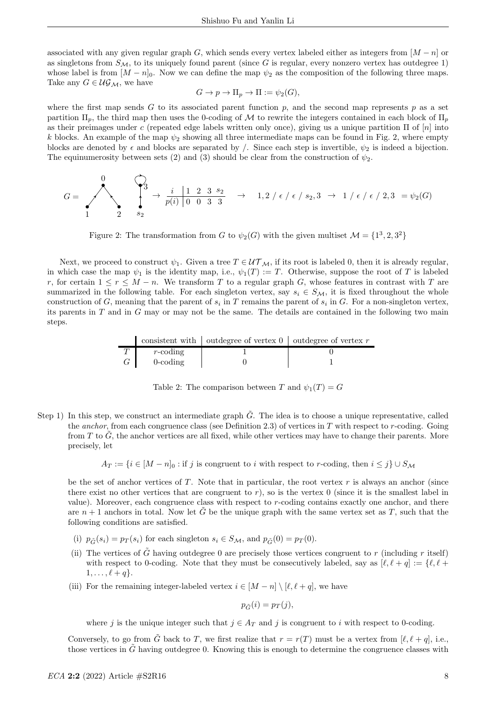associated with any given regular graph G, which sends every vertex labeled either as integers from  $[M - n]$  or as singletons from  $S_M$ , to its uniquely found parent (since G is regular, every nonzero vertex has outdegree 1) whose label is from  $[M - n]_0$ . Now we can define the map  $\psi_2$  as the composition of the following three maps. Take any  $G \in \mathcal{UG}_\mathcal{M}$ , we have

$$
G \to p \to \Pi_p \to \Pi := \psi_2(G),
$$

where the first map sends G to its associated parent function  $p$ , and the second map represents  $p$  as a set partition  $\Pi_p$ , the third map then uses the 0-coding of M to rewrite the integers contained in each block of  $\Pi_p$ as their preimages under c (repeated edge labels written only once), giving us a unique partition  $\Pi$  of  $[n]$  into k blocks. An example of the map  $\psi_2$  showing all three intermediate maps can be found in Fig. 2, where empty blocks are denoted by  $\epsilon$  and blocks are separated by /. Since each step is invertible,  $\psi_2$  is indeed a bijection. The equinumerosity between sets (2) and (3) should be clear from the construction of  $\psi_2$ .

$$
G = \begin{pmatrix} 0 & 0 \\ 0 & \frac{i}{p(i)} & 0 & 0 & 3 & 3 \\ 0 & 0 & 0 & 3 & 3 \end{pmatrix} \rightarrow 1, 2 \neq i \in \{-\epsilon \mid s_2, 3 \rightarrow 1 \mid \epsilon \mid \epsilon \mid 2, 3 = \psi_2(G)
$$

Figure 2: The transformation from G to  $\psi_2(G)$  with the given multiset  $\mathcal{M} = \{1^3, 2, 3^2\}$ 

Next, we proceed to construct  $\psi_1$ . Given a tree  $T \in \mathcal{UT}_\mathcal{M}$ , if its root is labeled 0, then it is already regular, in which case the map  $\psi_1$  is the identity map, i.e.,  $\psi_1(T) := T$ . Otherwise, suppose the root of T is labeled r, for certain  $1 \le r \le M - n$ . We transform T to a regular graph G, whose features in contrast with T are summarized in the following table. For each singleton vertex, say  $s_i \in S_{\mathcal{M}}$ , it is fixed throughout the whole construction of G, meaning that the parent of  $s_i$  in T remains the parent of  $s_i$  in G. For a non-singleton vertex, its parents in T and in G may or may not be the same. The details are contained in the following two main steps.

|                   | consistent with $\vert$ outdegree of vertex $0 \vert$ outdegree of vertex r |  |
|-------------------|-----------------------------------------------------------------------------|--|
| $r\text{-coding}$ |                                                                             |  |
| $0$ -coding       |                                                                             |  |

Table 2: The comparison between T and  $\psi_1(T) = G$ 

Step 1) In this step, we construct an intermediate graph  $\tilde{G}$ . The idea is to choose a unique representative, called the anchor, from each congruence class (see Definition 2.3) of vertices in  $T$  with respect to  $r$ -coding. Going from  $T$  to  $G$ , the anchor vertices are all fixed, while other vertices may have to change their parents. More precisely, let

$$
A_T := \{i \in [M - n]_0 : \text{if } j \text{ is congruent to } i \text{ with respect to } r\text{-coding, then } i \leq j\} \cup S_{\mathcal{M}}
$$

be the set of anchor vertices of  $T$ . Note that in particular, the root vertex  $r$  is always an anchor (since there exist no other vertices that are congruent to  $r$ ), so is the vertex 0 (since it is the smallest label in value). Moreover, each congruence class with respect to r-coding contains exactly one anchor, and there are  $n+1$  anchors in total. Now let G be the unique graph with the same vertex set as T, such that the following conditions are satisfied.

- (i)  $p_{\tilde{G}}(s_i) = p_T(s_i)$  for each singleton  $s_i \in S_{\mathcal{M}}$ , and  $p_{\tilde{G}}(0) = p_T(0)$ .
- (ii) The vertices of  $\tilde{G}$  having outdegree 0 are precisely those vertices congruent to r (including r itself) with respect to 0-coding. Note that they must be consecutively labeled, say as  $[\ell, \ell + q] := \{\ell, \ell +$  $1, \ldots, \ell + q$ .
- (iii) For the remaining integer-labeled vertex  $i \in [M n] \setminus [\ell, \ell + q]$ , we have

$$
p_{\tilde{G}}(i) = p_T(j),
$$

where j is the unique integer such that  $j \in A_T$  and j is congruent to i with respect to 0-coding.

Conversely, to go from G back to T, we first realize that  $r = r(T)$  must be a vertex from  $[\ell, \ell + q]$ , i.e., those vertices in  $G$  having outdegree 0. Knowing this is enough to determine the congruence classes with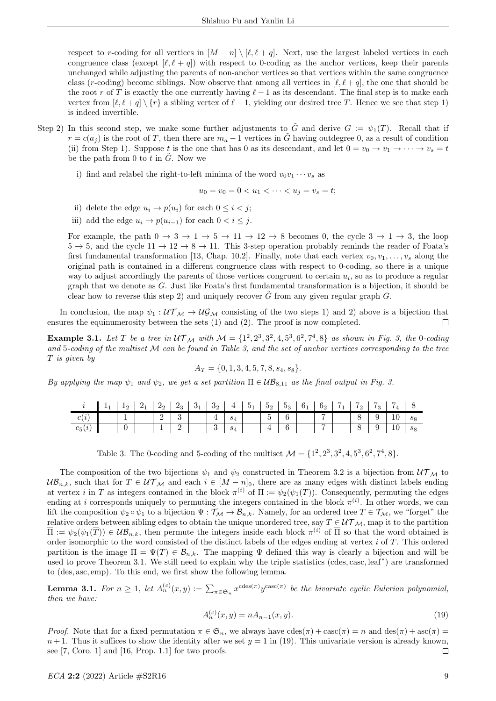respect to r-coding for all vertices in  $[M - n] \setminus [\ell, \ell + q]$ . Next, use the largest labeled vertices in each congruence class (except  $[\ell, \ell + q]$ ) with respect to 0-coding as the anchor vertices, keep their parents unchanged while adjusting the parents of non-anchor vertices so that vertices within the same congruence class (r-coding) become siblings. Now observe that among all vertices in  $[\ell, \ell + q]$ , the one that should be the root r of T is exactly the one currently having  $\ell - 1$  as its descendant. The final step is to make each vertex from  $[\ell, \ell + q] \setminus \{r\}$  a sibling vertex of  $\ell - 1$ , yielding our desired tree T. Hence we see that step 1) is indeed invertible.

- Step 2) In this second step, we make some further adjustments to  $\tilde{G}$  and derive  $G := \psi_1(T)$ . Recall that if  $r = c(a_i)$  is the root of T, then there are  $m_a - 1$  vertices in  $\tilde{G}$  having outdegree 0, as a result of condition (ii) from Step 1). Suppose t is the one that has 0 as its descendant, and let  $0 = v_0 \to v_1 \to \cdots \to v_s = t$ be the path from 0 to t in  $\tilde{G}$ . Now we
	- i) find and relabel the right-to-left minima of the word  $v_0v_1 \cdots v_s$  as

$$
u_0 = v_0 = 0 < u_1 < \dots < u_j = v_s = t;
$$

- ii) delete the edge  $u_i \rightarrow p(u_i)$  for each  $0 \leq i \leq j$ ;
- iii) add the edge  $u_i \rightarrow p(u_{i-1})$  for each  $0 < i \leq j$ .

For example, the path  $0 \to 3 \to 1 \to 5 \to 11 \to 12 \to 8$  becomes 0, the cycle  $3 \to 1 \to 3$ , the loop  $5 \rightarrow 5$ , and the cycle  $11 \rightarrow 12 \rightarrow 8 \rightarrow 11$ . This 3-step operation probably reminds the reader of Foata's first fundamental transformation [13, Chap. 10.2]. Finally, note that each vertex  $v_0, v_1, \ldots, v_s$  along the original path is contained in a different congruence class with respect to 0-coding, so there is a unique way to adjust accordingly the parents of those vertices congruent to certain  $u_i$ , so as to produce a regular graph that we denote as G. Just like Foata's first fundamental transformation is a bijection, it should be clear how to reverse this step 2) and uniquely recover  $\tilde{G}$  from any given regular graph  $G$ .

In conclusion, the map  $\psi_1 : U \mathcal{T}_M \to U \mathcal{G}_M$  consisting of the two steps 1) and 2) above is a bijection that ensures the equinumerosity between the sets (1) and (2). The proof is now completed.  $\Box$ 

**Example 3.1.** Let T be a tree in  $UT_{\mathcal{M}}$  with  $\mathcal{M} = \{1^2, 2^3, 3^2, 4, 5^3, 6^2, 7^4, 8\}$  as shown in Fig. 3, the 0-coding and 5-coding of the multiset  $M$  can be found in Table 3, and the set of anchor vertices corresponding to the tree T is given by

$$
A_T = \{0, 1, 3, 4, 5, 7, 8, s_4, s_8\}.
$$

By applying the map  $\psi_1$  and  $\psi_2$ , we get a set partition  $\Pi \in \mathcal{UB}_{8,11}$  as the final output in Fig. 3.

|          | $1_1$ $1_2$ $2_1$ $2_2$ $2_3$ $3_1$ $3_2$ $4$ $5_1$ $5_2$ $5_3$ $6_1$ $6_2$ $7_1$ $7_2$ $7_3$ $7_4$ 8 |  |                                                     |  |                                                                   |  |                                                                 |  |  |  |  |
|----------|-------------------------------------------------------------------------------------------------------|--|-----------------------------------------------------|--|-------------------------------------------------------------------|--|-----------------------------------------------------------------|--|--|--|--|
| c(i)     |                                                                                                       |  |                                                     |  |                                                                   |  |                                                                 |  |  |  |  |
| $c_5(i)$ |                                                                                                       |  | $\begin{array}{c c c c c} \hline \end{array}$ 1 2 1 |  | $\begin{array}{ c c c c c } \hline 3 & s_4 \\ \hline \end{array}$ |  | $\begin{array}{ c c c c c } \hline 4 & 6 \\ \hline \end{array}$ |  |  |  |  |

Table 3: The 0-coding and 5-coding of the multiset  $\mathcal{M} = \{1^2, 2^3, 3^2, 4, 5^3, 6^2, 7^4, 8\}.$ 

The composition of the two bijections  $\psi_1$  and  $\psi_2$  constructed in Theorem 3.2 is a bijection from  $\mathcal{UT}_\mathcal{M}$  to  $UB_{n,k}$ , such that for  $T \in UT_{\mathcal{M}}$  and each  $i \in [M - n]_0$ , there are as many edges with distinct labels ending at vertex *i* in T as integers contained in the block  $\pi^{(i)}$  of  $\Pi := \psi_2(\psi_1(T))$ . Consequently, permuting the edges ending at i corresponds uniquely to permuting the integers contained in the block  $\pi^{(i)}$ . In other words, we can lift the composition  $\psi_2 \circ \psi_1$  to a bijection  $\Psi : \mathcal{T}_M \to \mathcal{B}_{n,k}$ . Namely, for an ordered tree  $T \in \mathcal{T}_M$ , we "forget" the relative orders between sibling edges to obtain the unique unordered tree, say  $\overline{T} \in \mathcal{UT}_\mathcal{M}$ , map it to the partition  $\overline{\Pi} := \psi_2(\psi_1(\overline{T})) \in \mathcal{UB}_{n,k}$ , then permute the integers inside each block  $\pi^{(i)}$  of  $\overline{\Pi}$  so that the word obtained is order isomorphic to the word consisted of the distinct labels of the edges ending at vertex  $i$  of  $T$ . This ordered partition is the image  $\Pi = \Psi(T) \in \mathcal{B}_{n,k}$ . The mapping  $\Psi$  defined this way is clearly a bijection and will be used to prove Theorem 3.1. We still need to explain why the triple statistics (cdes, casc, leaf<sup>∗</sup> ) are transformed to (des, asc, emp). To this end, we first show the following lemma.

**Lemma 3.1.** For  $n \geq 1$ , let  $A_n^{(c)}(x, y) := \sum_{\pi \in \mathfrak{S}_n} x^{\text{cdes}(\pi)} y^{\text{casc}(\pi)}$  be the bivariate cyclic Eulerian polynomial, then we have:

$$
A_n^{(c)}(x,y) = nA_{n-1}(x,y). \tag{19}
$$

Proof. Note that for a fixed permutation  $\pi \in \mathfrak{S}_n$ , we always have  $cdes(\pi) + casc(\pi) = n$  and  $des(\pi) + asc(\pi) =$  $n+1$ . Thus it suffices to show the identity after we set  $y=1$  in (19). This univariate version is already known, see  $[7, \text{Coro. 1}]$  and  $[16, \text{Prop. 1.1}]$  for two proofs.  $\Box$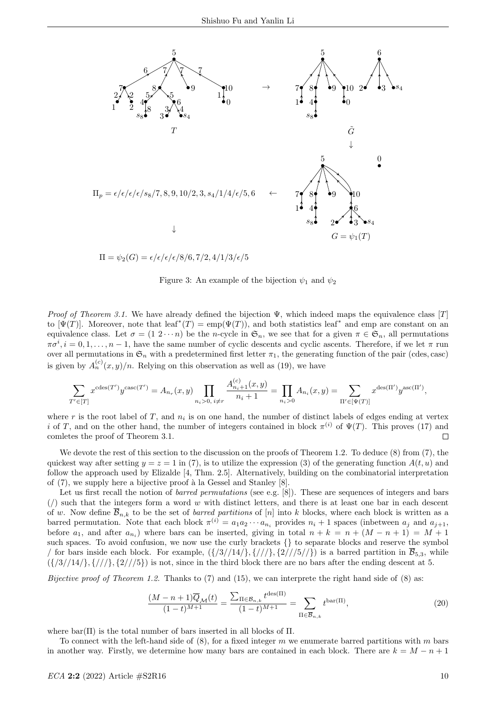

 $\Pi = \psi_2(G) = \epsilon/\epsilon/\epsilon/8/6, 7/2, 4/1/3/\epsilon/5$ 

Figure 3: An example of the bijection  $\psi_1$  and  $\psi_2$ 

*Proof of Theorem 3.1.* We have already defined the bijection  $\Psi$ , which indeed maps the equivalence class [T] to  $[\Psi(T)]$ . Moreover, note that leaf<sup>\*</sup>(T) = emp( $\Psi(T)$ ), and both statistics leaf<sup>\*</sup> and emp are constant on an equivalence class. Let  $\sigma = (1 \ 2 \cdots n)$  be the n-cycle in  $\mathfrak{S}_n$ , we see that for a given  $\pi \in \mathfrak{S}_n$ , all permutations  $\pi\sigma^i, i=0,1,\ldots,n-1$ , have the same number of cyclic descents and cyclic ascents. Therefore, if we let  $\pi$  run over all permutations in  $\mathfrak{S}_n$  with a predetermined first letter  $\pi_1$ , the generating function of the pair (cdes, case) is given by  $A_n^{(c)}(x,y)/n$ . Relying on this observation as well as (19), we have

$$
\sum_{T' \in [T]} x^{\text{cdes}(T')} y^{\text{casc}(T')} = A_{n_r}(x, y) \prod_{n_i > 0, i \neq r} \frac{A_{n_i+1}^{(c)}(x, y)}{n_i + 1} = \prod_{n_i > 0} A_{n_i}(x, y) = \sum_{\Pi' \in [\Psi(T)]} x^{\text{des}(\Pi')} y^{\text{asc}(\Pi')},
$$

where r is the root label of T, and  $n_i$  is on one hand, the number of distinct labels of edges ending at vertex i of T, and on the other hand, the number of integers contained in block  $\pi^{(i)}$  of  $\Psi(T)$ . This proves (17) and comletes the proof of Theorem 3.1.  $\Box$ 

We devote the rest of this section to the discussion on the proofs of Theorem 1.2. To deduce  $(8)$  from  $(7)$ , the quickest way after setting  $y = z = 1$  in (7), is to utilize the expression (3) of the generating function  $A(t, u)$  and follow the approach used by Elizalde [4, Thm. 2.5]. Alternatively, building on the combinatorial interpretation of  $(7)$ , we supply here a bijective proof à la Gessel and Stanley  $[8]$ .

Let us first recall the notion of *barred permutations* (see e.g. [8]). These are sequences of integers and bars ( $\ell$ ) such that the integers form a word w with distinct letters, and there is at least one bar in each descent of w. Now define  $\overline{B}_{n,k}$  to be the set of *barred partitions* of [n] into k blocks, where each block is written as a barred permutation. Note that each block  $\pi^{(i)} = a_1 a_2 \cdots a_{n_i}$  provides  $n_i + 1$  spaces (inbetween  $a_j$  and  $a_{j+1}$ , before  $a_1$ , and after  $a_{n_i}$ ) where bars can be inserted, giving in total  $n + k = n + (M - n + 1) = M + 1$ such spaces. To avoid confusion, we now use the curly brackets  $\{\}$  to separate blocks and reserve the symbol / for bars inside each block. For example,  $({27/14}, {77/3}, {277/57})$  is a barred partition in  $\overline{B}_{5,3}$ , while  $({37/14}\}, {71/3}, {27/5})$  is not, since in the third block there are no bars after the ending descent at 5.

*Bijective proof of Theorem 1.2.* Thanks to (7) and (15), we can interprete the right hand side of (8) as:

$$
\frac{(M-n+1)\overline{Q}_{\mathcal{M}}(t)}{(1-t)^{M+1}} = \frac{\sum_{\Pi \in \mathcal{B}_{n,k}} t^{\text{des}(\Pi)}}{(1-t)^{M+1}} = \sum_{\Pi \in \overline{\mathcal{B}}_{n,k}} t^{\text{bar}(\Pi)},\tag{20}
$$

where  $bar(\Pi)$  is the total number of bars inserted in all blocks of  $\Pi$ .

To connect with the left-hand side of  $(8)$ , for a fixed integer m we enumerate barred partitions with m bars in another way. Firstly, we determine how many bars are contained in each block. There are  $k = M - n + 1$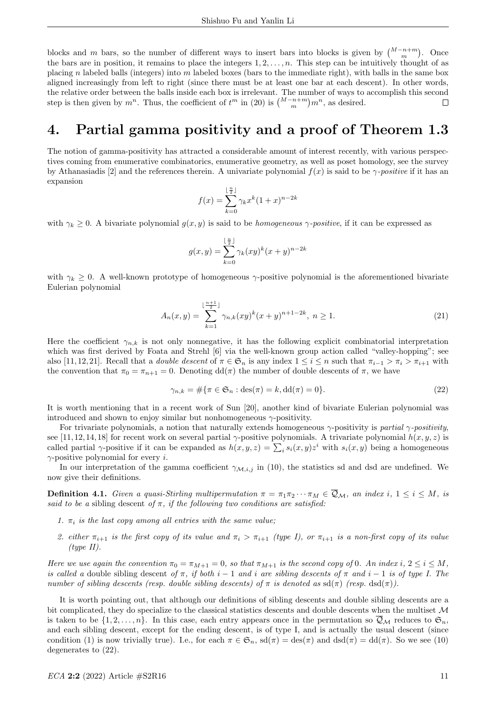blocks and m bars, so the number of different ways to insert bars into blocks is given by  $\binom{M-n+m}{m}$ . Once the bars are in position, it remains to place the integers  $1, 2, \ldots, n$ . This step can be intuitively thought of as placing n labeled balls (integers) into m labeled boxes (bars to the immediate right), with balls in the same box aligned increasingly from left to right (since there must be at least one bar at each descent). In other words, the relative order between the balls inside each box is irrelevant. The number of ways to accomplish this second step is then given by  $m^n$ . Thus, the coefficient of  $t^m$  in (20) is  $\binom{M-n+m}{m}m^n$ , as desired. П

# 4. Partial gamma positivity and a proof of Theorem 1.3

The notion of gamma-positivity has attracted a considerable amount of interest recently, with various perspectives coming from enumerative combinatorics, enumerative geometry, as well as poset homology, see the survey by Athanasiadis [2] and the references therein. A univariate polynomial  $f(x)$  is said to be  $\gamma$ -positive if it has an expansion

$$
f(x) = \sum_{k=0}^{\lfloor \frac{n}{2} \rfloor} \gamma_k x^k (1+x)^{n-2k}
$$

with  $\gamma_k \geq 0$ . A bivariate polynomial  $g(x, y)$  is said to be *homogeneous*  $\gamma$ -positive, if it can be expressed as

$$
g(x,y) = \sum_{k=0}^{\lfloor \frac{n}{2} \rfloor} \gamma_k(xy)^k (x+y)^{n-2k}
$$

with  $\gamma_k \geq 0$ . A well-known prototype of homogeneous  $\gamma$ -positive polynomial is the aforementioned bivariate Eulerian polynomial

$$
A_n(x,y) = \sum_{k=1}^{\lfloor \frac{n+1}{2} \rfloor} \gamma_{n,k}(xy)^k (x+y)^{n+1-2k}, \ n \ge 1.
$$
 (21)

Here the coefficient  $\gamma_{n,k}$  is not only nonnegative, it has the following explicit combinatorial interpretation which was first derived by Foata and Strehl [6] via the well-known group action called "valley-hopping"; see also [11, 12, 21]. Recall that a *double descent* of  $\pi \in \mathfrak{S}_n$  is any index  $1 \leq i \leq n$  such that  $\pi_{i-1} > \pi_i > \pi_{i+1}$  with the convention that  $\pi_0 = \pi_{n+1} = 0$ . Denoting  $dd(\pi)$  the number of double descents of  $\pi$ , we have

$$
\gamma_{n,k} = \#\{\pi \in \mathfrak{S}_n : \text{des}(\pi) = k, \text{dd}(\pi) = 0\}.
$$
\n
$$
(22)
$$

It is worth mentioning that in a recent work of Sun [20], another kind of bivariate Eulerian polynomial was introduced and shown to enjoy similar but nonhomogeneous  $\gamma$ -positivity.

For trivariate polynomials, a notion that naturally extends homogeneous  $\gamma$ -positivity is partial  $\gamma$ -positivity, see [11, 12, 14, 18] for recent work on several partial  $\gamma$ -positive polynomials. A trivariate polynomial  $h(x, y, z)$  is called partial  $\gamma$ -positive if it can be expanded as  $h(x, y, z) = \sum_i s_i(x, y) z^i$  with  $s_i(x, y)$  being a homogeneous  $\gamma$ -positive polynomial for every *i*.

In our interpretation of the gamma coefficient  $\gamma_{\mathcal{M},i,j}$  in (10), the statistics sd and dsd are undefined. We now give their definitions.

**Definition 4.1.** Given a quasi-Stirling multipermutation  $\pi = \pi_1 \pi_2 \cdots \pi_M \in \overline{Q}_M$ , an index i,  $1 \leq i \leq M$ , is said to be a sibling descent of  $\pi$ , if the following two conditions are satisfied:

- 1.  $\pi_i$  is the last copy among all entries with the same value;
- 2. either  $\pi_{i+1}$  is the first copy of its value and  $\pi_i > \pi_{i+1}$  (type I), or  $\pi_{i+1}$  is a non-first copy of its value (type II).

Here we use again the convention  $\pi_0 = \pi_{M+1} = 0$ , so that  $\pi_{M+1}$  is the second copy of 0. An index  $i, 2 \le i \le M$ , is called a double sibling descent of  $\pi$ , if both i − 1 and i are sibling descents of  $\pi$  and i − 1 is of type I. The number of sibling descents (resp. double sibling descents) of  $\pi$  is denoted as  $sd(\pi)$  (resp.  $ds(d\pi)$ ).

It is worth pointing out, that although our definitions of sibling descents and double sibling descents are a bit complicated, they do specialize to the classical statistics descents and double descents when the multiset  $\mathcal M$ is taken to be  $\{1, 2, \ldots, n\}$ . In this case, each entry appears once in the permutation so  $\mathcal{Q}_M$  reduces to  $\mathfrak{S}_n$ , and each sibling descent, except for the ending descent, is of type I, and is actually the usual descent (since condition (1) is now trivially true). I.e., for each  $\pi \in \mathfrak{S}_n$ ,  $sd(\pi) = des(\pi)$  and  $dsd(\pi) = dd(\pi)$ . So we see (10) degenerates to (22).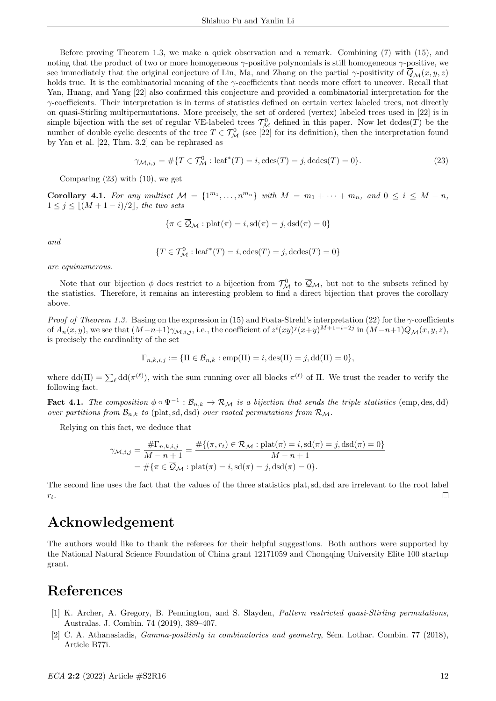Before proving Theorem 1.3, we make a quick observation and a remark. Combining (7) with (15), and noting that the product of two or more homogeneous γ-positive polynomials is still homogeneous γ-positive, we see immediately that the original conjecture of Lin, Ma, and Zhang on the partial  $\gamma$ -positivity of  $\overline{Q}_{\mathcal{M}}(x, y, z)$ holds true. It is the combinatorial meaning of the γ-coefficients that needs more effort to uncover. Recall that Yan, Huang, and Yang [22] also confirmed this conjecture and provided a combinatorial interpretation for the  $\gamma$ -coefficients. Their interpretation is in terms of statistics defined on certain vertex labeled trees, not directly on quasi-Stirling multipermutations. More precisely, the set of ordered (vertex) labeled trees used in [22] is in simple bijection with the set of regular VE-labeled trees  $\mathcal{T}_{\mathcal{M}}^0$  defined in this paper. Now let dcdes(T) be the number of double cyclic descents of the tree  $T \in \mathcal{T}_{\mathcal{M}}^0$  (see [22] for its definition), then the interpretation found by Yan et al. [22, Thm. 3.2] can be rephrased as

$$
\gamma_{\mathcal{M},i,j} = #\{T \in \mathcal{T}^0_{\mathcal{M}} : \text{leaf}^*(T) = i, \text{cdes}(T) = j, \text{dcdes}(T) = 0\}.
$$
\n(23)

Comparing  $(23)$  with  $(10)$ , we get

**Corollary 4.1.** For any multiset  $M = \{1^{m_1}, \ldots, n^{m_n}\}\$  with  $M = m_1 + \cdots + m_n$ , and  $0 \le i \le M - n$ ,  $1 \leq j \leq \lfloor (M + 1 - i)/2 \rfloor$ , the two sets

$$
\{\pi \in \overline{\mathcal{Q}}_{\mathcal{M}} : \text{plat}(\pi) = i, \text{sd}(\pi) = j, \text{dsd}(\pi) = 0\}
$$

and

$$
\{T\in \mathcal{T}^0_{\mathcal{M}}: \mathrm{leaf}^*(T)=i, \mathrm{cdes}(T)=j, \mathrm{dcdes}(T)=0\}
$$

are equinumerous.

Note that our bijection  $\phi$  does restrict to a bijection from  $\mathcal{T}_{\mathcal{M}}^0$  to  $\overline{\mathcal{Q}}_{\mathcal{M}}$ , but not to the subsets refined by the statistics. Therefore, it remains an interesting problem to find a direct bijection that proves the corollary above.

*Proof of Theorem 1.3.* Basing on the expression in (15) and Foata-Strehl's interpretation (22) for the  $\gamma$ -coefficients of  $A_n(x, y)$ , we see that  $(M-n+1)\gamma_{\mathcal{M},i,j}$ , i.e., the coefficient of  $z^i(xy)^j(x+y)^{M+1-i-2j}$  in  $(M-n+1)\overline{Q}_{\mathcal{M}}(x, y, z)$ , is precisely the cardinality of the set

$$
\Gamma_{n,k,i,j} := \{\Pi \in \mathcal{B}_{n,k} : \text{emp}(\Pi) = i, \text{des}(\Pi) = j, \text{dd}(\Pi) = 0\},\
$$

where  $dd(\Pi) = \sum_{\ell} dd(\pi^{(\ell)})$ , with the sum running over all blocks  $\pi^{(\ell)}$  of  $\Pi$ . We trust the reader to verify the following fact.

**Fact 4.1.** The composition  $\phi \circ \Psi^{-1} : \mathcal{B}_{n,k} \to \mathcal{R}_{\mathcal{M}}$  is a bijection that sends the triple statistics (emp, des, dd) over partitions from  $\mathcal{B}_{n,k}$  to (plat, sd, dsd) over rooted permutations from  $\mathcal{R}_{\mathcal{M}}$ .

Relying on this fact, we deduce that

$$
\gamma_{\mathcal{M},i,j} = \frac{\# \Gamma_{n,k,i,j}}{M - n + 1} = \frac{\# \{ (\pi, r_t) \in \mathcal{R}_{\mathcal{M}} : \text{plat}(\pi) = i, \text{sd}(\pi) = j, \text{dsd}(\pi) = 0 \}}{M - n + 1}
$$
  
=  $\# \{ \pi \in \overline{\mathcal{Q}}_{\mathcal{M}} : \text{plat}(\pi) = i, \text{sd}(\pi) = j, \text{dsd}(\pi) = 0 \}.$ 

The second line uses the fact that the values of the three statistics plat,sd, dsd are irrelevant to the root label  $\Box$  $r_t$ .

#### Acknowledgement

The authors would like to thank the referees for their helpful suggestions. Both authors were supported by the National Natural Science Foundation of China grant 12171059 and Chongqing University Elite 100 startup grant.

# References

- [1] K. Archer, A. Gregory, B. Pennington, and S. Slayden, Pattern restricted quasi-Stirling permutations, Australas. J. Combin. 74 (2019), 389–407.
- [2] C. A. Athanasiadis, *Gamma-positivity in combinatorics and geometry*, Sém. Lothar. Combin. 77 (2018), Article B77i.